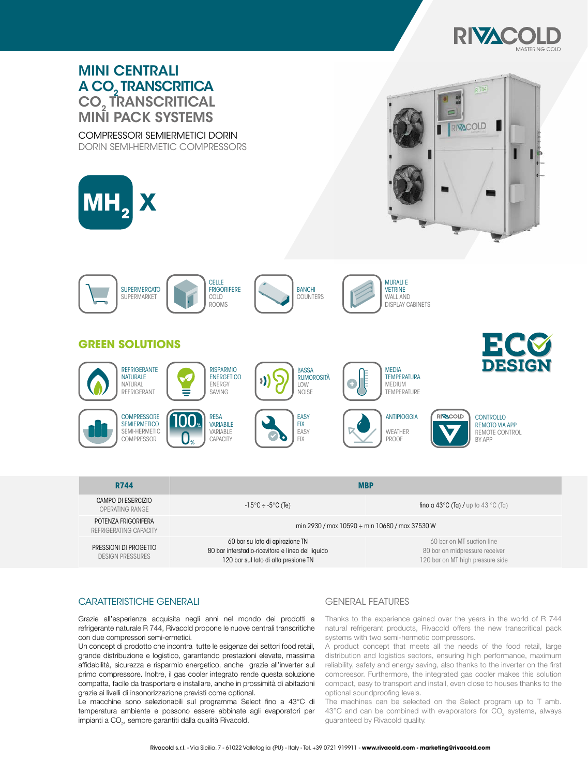



### CARATTERISTICHE GENERALI GENERAL FEATURES

Grazie all'esperienza acquisita negli anni nel mondo dei prodotti a refrigerante naturale R 744, Rivacold propone le nuove centrali transcritiche con due compressori semi-ermetici.

Un concept di prodotto che incontra tutte le esigenze dei settori food retail, grande distribuzione e logistico, garantendo prestazioni elevate, massima affidabilità, sicurezza e risparmio energetico, anche grazie all'inverter sul primo compressore. Inoltre, il gas cooler integrato rende questa soluzione compatta, facile da trasportare e installare, anche in prossimità di abitazioni grazie ai livelli di insonorizzazione previsti come optional.

Le macchine sono selezionabili sul programma Select fino a 43°C di temperatura ambiente e possono essere abbinate agli evaporatori per impianti a CO $_{\scriptscriptstyle 2}$ , sempre garantiti dalla qualità Rivacold.

Thanks to the experience gained over the years in the world of R 744 natural refrigerant products, Rivacold offers the new transcritical pack systems with two semi-hermetic compressors.

A product concept that meets all the needs of the food retail, large distribution and logistics sectors, ensuring high performance, maximum reliability, safety and energy saving, also thanks to the inverter on the first compressor. Furthermore, the integrated gas cooler makes this solution compact, easy to transport and install, even close to houses thanks to the optional soundproofing levels.

The machines can be selected on the Select program up to T amb. 43°C and can be combined with evaporators for  $CO_2$  systems, always guaranteed by Rivacold quality.